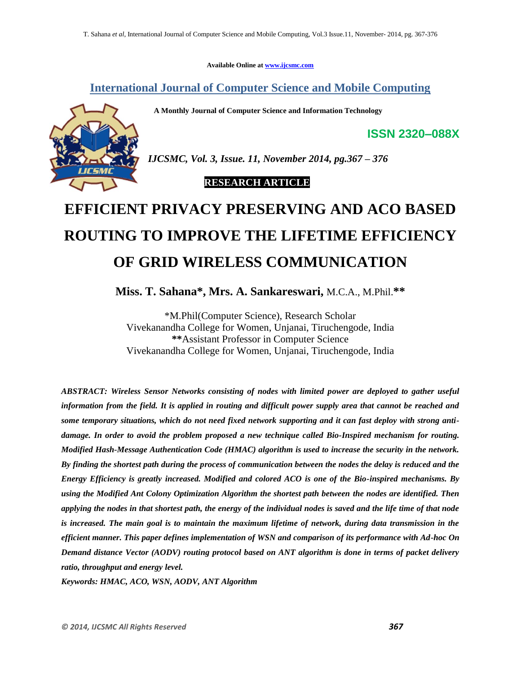**Available Online at [www.ijcsmc.com](http://www.ijcsmc.com/)**

**International Journal of Computer Science and Mobile Computing**

 **A Monthly Journal of Computer Science and Information Technology**



*IJCSMC, Vol. 3, Issue. 11, November 2014, pg.367 – 376*

 **RESEARCH ARTICLE**

# **EFFICIENT PRIVACY PRESERVING AND ACO BASED ROUTING TO IMPROVE THE LIFETIME EFFICIENCY OF GRID WIRELESS COMMUNICATION**

**Miss. T. Sahana\*, Mrs. A. Sankareswari,** M.C.A., M.Phil.**\*\***

\*M.Phil(Computer Science), Research Scholar Vivekanandha College for Women, Unjanai, Tiruchengode, India **\*\***Assistant Professor in Computer Science Vivekanandha College for Women, Unjanai, Tiruchengode, India

*ABSTRACT: Wireless Sensor Networks consisting of nodes with limited power are deployed to gather useful information from the field. It is applied in routing and difficult power supply area that cannot be reached and some temporary situations, which do not need fixed network supporting and it can fast deploy with strong antidamage. In order to avoid the problem proposed a new technique called Bio-Inspired mechanism for routing. Modified Hash-Message Authentication Code (HMAC) algorithm is used to increase the security in the network. By finding the shortest path during the process of communication between the nodes the delay is reduced and the Energy Efficiency is greatly increased. Modified and colored ACO is one of the Bio-inspired mechanisms. By using the Modified Ant Colony Optimization Algorithm the shortest path between the nodes are identified. Then applying the nodes in that shortest path, the energy of the individual nodes is saved and the life time of that node is increased. The main goal is to maintain the maximum lifetime of network, during data transmission in the efficient manner. This paper defines implementation of WSN and comparison of its performance with Ad-hoc On Demand distance Vector (AODV) routing protocol based on ANT algorithm is done in terms of packet delivery ratio, throughput and energy level.*

*Keywords: HMAC, ACO, WSN, AODV, ANT Algorithm*

**ISSN 2320–088X**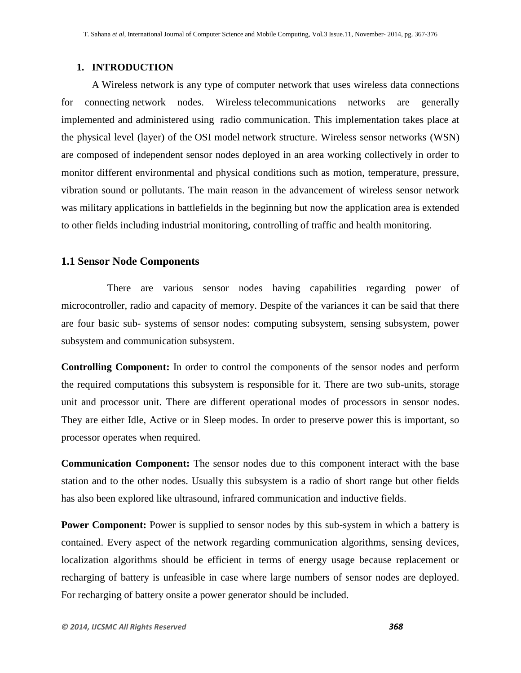### **1. INTRODUCTION**

A Wireless network is any type of [computer network](http://en.wikipedia.org/wiki/Computer_network) that uses wireless data connections for connecting [network nodes.](http://en.wikipedia.org/wiki/Network_node) [Wireless](http://en.wikipedia.org/wiki/Wireless) telecommunications networks are generally implemented and administered using radio communication. This implementation takes place at the physical level (layer) of the [OSI model](http://en.wikipedia.org/wiki/OSI_model) network structure. Wireless sensor networks (WSN) are composed of independent sensor nodes deployed in an area working collectively in order to monitor different environmental and physical conditions such as motion, temperature, pressure, vibration sound or pollutants. The main reason in the advancement of wireless sensor network was military applications in battlefields in the beginning but now the application area is extended to other fields including industrial monitoring, controlling of traffic and health monitoring.

## **1.1 Sensor Node Components**

 There are various sensor nodes having capabilities regarding power of microcontroller, radio and capacity of memory. Despite of the variances it can be said that there are four basic sub- systems of sensor nodes: computing subsystem, sensing subsystem, power subsystem and communication subsystem.

**Controlling Component:** In order to control the components of the sensor nodes and perform the required computations this subsystem is responsible for it. There are two sub-units, storage unit and processor unit. There are different operational modes of processors in sensor nodes. They are either Idle, Active or in Sleep modes. In order to preserve power this is important, so processor operates when required.

**Communication Component:** The sensor nodes due to this component interact with the base station and to the other nodes. Usually this subsystem is a radio of short range but other fields has also been explored like ultrasound, infrared communication and inductive fields.

**Power Component:** Power is supplied to sensor nodes by this sub-system in which a battery is contained. Every aspect of the network regarding communication algorithms, sensing devices, localization algorithms should be efficient in terms of energy usage because replacement or recharging of battery is unfeasible in case where large numbers of sensor nodes are deployed. For recharging of battery onsite a power generator should be included.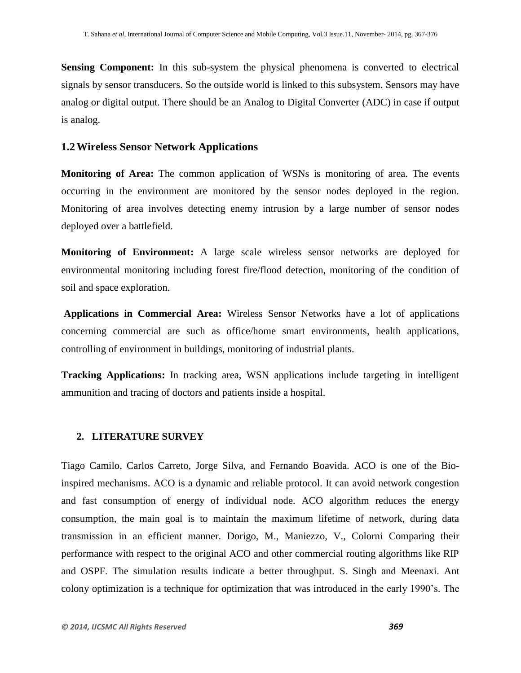**Sensing Component:** In this sub-system the physical phenomena is converted to electrical signals by sensor transducers. So the outside world is linked to this subsystem. Sensors may have analog or digital output. There should be an Analog to Digital Converter (ADC) in case if output is analog.

#### **1.2Wireless Sensor Network Applications**

**Monitoring of Area:** The common application of WSNs is monitoring of area. The events occurring in the environment are monitored by the sensor nodes deployed in the region. Monitoring of area involves detecting enemy intrusion by a large number of sensor nodes deployed over a battlefield.

**Monitoring of Environment:** A large scale wireless sensor networks are deployed for environmental monitoring including forest fire/flood detection, monitoring of the condition of soil and space exploration.

**Applications in Commercial Area:** Wireless Sensor Networks have a lot of applications concerning commercial are such as office/home smart environments, health applications, controlling of environment in buildings, monitoring of industrial plants.

**Tracking Applications:** In tracking area, WSN applications include targeting in intelligent ammunition and tracing of doctors and patients inside a hospital.

#### **2. LITERATURE SURVEY**

Tiago Camilo, Carlos Carreto, Jorge Silva, and Fernando Boavida. ACO is one of the Bioinspired mechanisms. ACO is a dynamic and reliable protocol. It can avoid network congestion and fast consumption of energy of individual node. ACO algorithm reduces the energy consumption, the main goal is to maintain the maximum lifetime of network, during data transmission in an efficient manner. Dorigo, M., Maniezzo, V., Colorni Comparing their performance with respect to the original ACO and other commercial routing algorithms like RIP and OSPF. The simulation results indicate a better throughput. S. Singh and Meenaxi. Ant colony optimization is a technique for optimization that was introduced in the early 1990's. The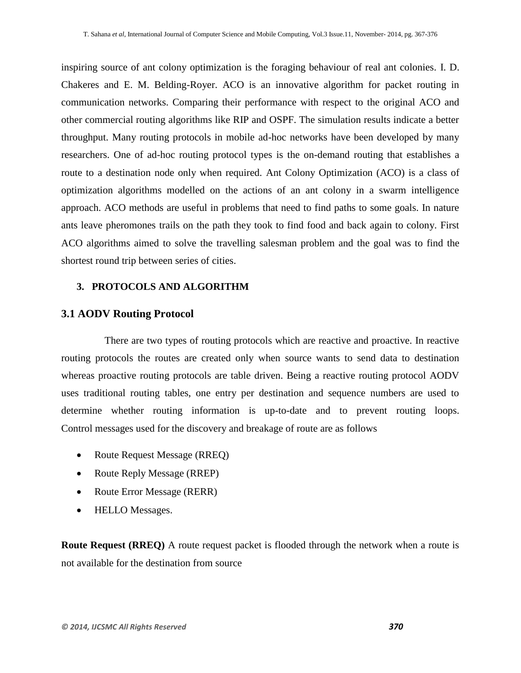inspiring source of ant colony optimization is the foraging behaviour of real ant colonies. I. D. Chakeres and E. M. Belding-Royer. ACO is an innovative algorithm for packet routing in communication networks. Comparing their performance with respect to the original ACO and other commercial routing algorithms like RIP and OSPF. The simulation results indicate a better throughput. Many routing protocols in mobile ad-hoc networks have been developed by many researchers. One of ad-hoc routing protocol types is the on-demand routing that establishes a route to a destination node only when required. Ant Colony Optimization (ACO) is a class of optimization algorithms modelled on the actions of an ant colony in a swarm intelligence approach. ACO methods are useful in problems that need to find paths to some goals. In nature ants leave pheromones trails on the path they took to find food and back again to colony. First ACO algorithms aimed to solve the travelling salesman problem and the goal was to find the shortest round trip between series of cities.

# **3. PROTOCOLS AND ALGORITHM**

# **3.1 AODV Routing Protocol**

 There are two types of routing protocols which are reactive and proactive. In reactive routing protocols the routes are created only when source wants to send data to destination whereas proactive routing protocols are table driven. Being a reactive routing protocol AODV uses traditional routing tables, one entry per destination and sequence numbers are used to determine whether routing information is up-to-date and to prevent routing loops. Control messages used for the discovery and breakage of route are as follows

- Route Request Message (RREQ)
- Route Reply Message (RREP)
- Route Error Message (RERR)
- HELLO Messages.

**Route Request (RREQ)** A route request packet is flooded through the network when a route is not available for the destination from source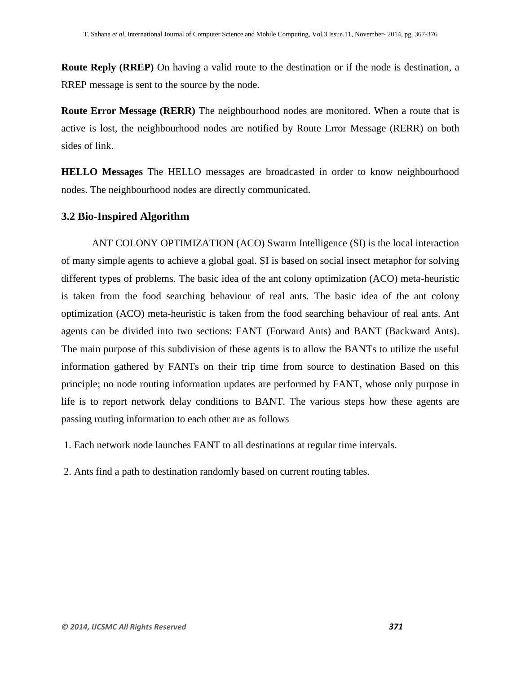**Route Reply (RREP)** On having a valid route to the destination or if the node is destination, a RREP message is sent to the source by the node.

**Route Error Message (RERR)** The neighbourhood nodes are monitored. When a route that is active is lost, the neighbourhood nodes are notified by Route Error Message (RERR) on both sides of link.

**HELLO Messages** The HELLO messages are broadcasted in order to know neighbourhood nodes. The neighbourhood nodes are directly communicated.

# **3.2 Bio-Inspired Algorithm**

ANT COLONY OPTIMIZATION (ACO) Swarm Intelligence (SI) is the local interaction of many simple agents to achieve a global goal. SI is based on social insect metaphor for solving different types of problems. The basic idea of the ant colony optimization (ACO) meta-heuristic is taken from the food searching behaviour of real ants. The basic idea of the ant colony optimization (ACO) meta-heuristic is taken from the food searching behaviour of real ants. Ant agents can be divided into two sections: FANT (Forward Ants) and BANT (Backward Ants). The main purpose of this subdivision of these agents is to allow the BANTs to utilize the useful information gathered by FANTs on their trip time from source to destination Based on this principle; no node routing information updates are performed by FANT, whose only purpose in life is to report network delay conditions to BANT. The various steps how these agents are passing routing information to each other are as follows

1. Each network node launches FANT to all destinations at regular time intervals.

2. Ants find a path to destination randomly based on current routing tables.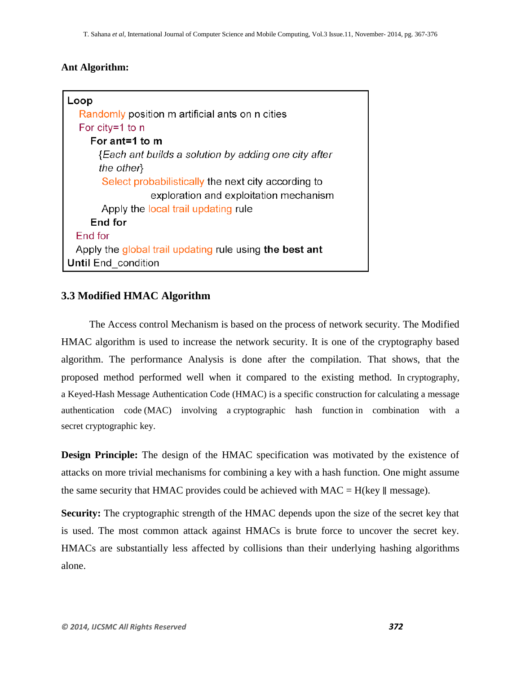### **Ant Algorithm:**

| Loop                                                    |  |  |  |  |  |  |  |
|---------------------------------------------------------|--|--|--|--|--|--|--|
| Randomly position m artificial ants on n cities         |  |  |  |  |  |  |  |
| For city=1 to $n$                                       |  |  |  |  |  |  |  |
| For ant=1 to $m$                                        |  |  |  |  |  |  |  |
| {Each ant builds a solution by adding one city after    |  |  |  |  |  |  |  |
| the other                                               |  |  |  |  |  |  |  |
| Select probabilistically the next city according to     |  |  |  |  |  |  |  |
| exploration and exploitation mechanism                  |  |  |  |  |  |  |  |
| Apply the local trail updating rule                     |  |  |  |  |  |  |  |
| End for                                                 |  |  |  |  |  |  |  |
| End for                                                 |  |  |  |  |  |  |  |
| Apply the global trail updating rule using the best ant |  |  |  |  |  |  |  |
| <b>Until End condition</b>                              |  |  |  |  |  |  |  |

# **3.3 Modified HMAC Algorithm**

 The Access control Mechanism is based on the process of network security. The Modified HMAC algorithm is used to increase the network security. It is one of the cryptography based algorithm. The performance Analysis is done after the compilation. That shows, that the proposed method performed well when it compared to the existing method. In [cryptography,](http://en.wikipedia.org/wiki/Cryptography) a Keyed-Hash Message Authentication Code (HMAC) is a specific construction for calculating a [message](http://en.wikipedia.org/wiki/Message_authentication_code)  [authentication code](http://en.wikipedia.org/wiki/Message_authentication_code) (MAC) involving a [cryptographic hash function](http://en.wikipedia.org/wiki/Cryptographic_hash_function) in combination with a secret [cryptographic key.](http://en.wikipedia.org/wiki/Cryptographic_key)

**Design Principle:** The design of the HMAC specification was motivated by the existence of attacks on more trivial mechanisms for combining a key with a hash function. One might assume the same security that HMAC provides could be achieved with MAC = H(key  $\parallel$  message).

**Security:** The cryptographic strength of the HMAC depends upon the size of the secret key that is used. The most common attack against HMACs is brute force to uncover the secret key. HMACs are substantially less affected by collisions than their underlying hashing algorithms alone.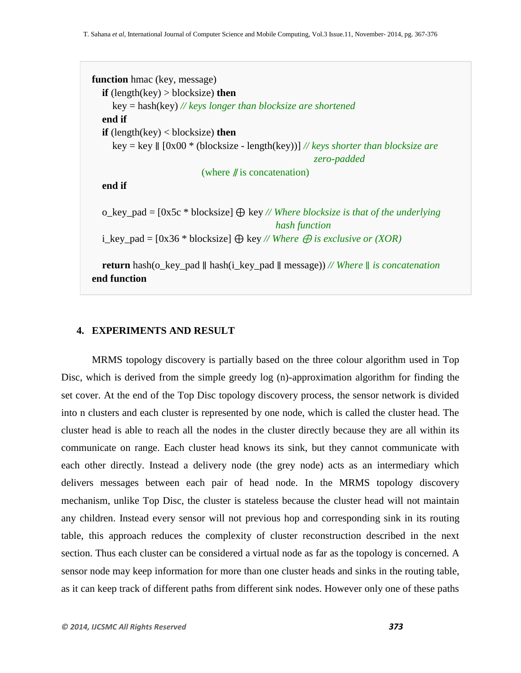```
function hmac (key, message)
   if (length(key) > blocksize) then
      key = hash(key) // keys longer than blocksize are shortened
   end if
   if (length(key) < blocksize) then
      key = key ∥ [0x00 * (blocksize - length(key))] // keys shorter than blocksize are 
                                                          zero-padded
                             (where ∥ is concatenation)
   end if
   o_key_pad = [0x5c * blocksize] ⊕ key // Where blocksize is that of the underlying
                                                hash function
  i_key_pad = [0x36 * blocksize] \bigoplus \text{key } // Where \bigoplus \text{is exclusive or } (XOR) return hash(o_key_pad ∥ hash(i_key_pad ∥ message)) // Where ∥ is concatenation
end function
```
#### **4. EXPERIMENTS AND RESULT**

MRMS topology discovery is partially based on the three colour algorithm used in Top Disc, which is derived from the simple greedy log (n)-approximation algorithm for finding the set cover. At the end of the Top Disc topology discovery process, the sensor network is divided into n clusters and each cluster is represented by one node, which is called the cluster head. The cluster head is able to reach all the nodes in the cluster directly because they are all within its communicate on range. Each cluster head knows its sink, but they cannot communicate with each other directly. Instead a delivery node (the grey node) acts as an intermediary which delivers messages between each pair of head node. In the MRMS topology discovery mechanism, unlike Top Disc, the cluster is stateless because the cluster head will not maintain any children. Instead every sensor will not previous hop and corresponding sink in its routing table, this approach reduces the complexity of cluster reconstruction described in the next section. Thus each cluster can be considered a virtual node as far as the topology is concerned. A sensor node may keep information for more than one cluster heads and sinks in the routing table, as it can keep track of different paths from different sink nodes. However only one of these paths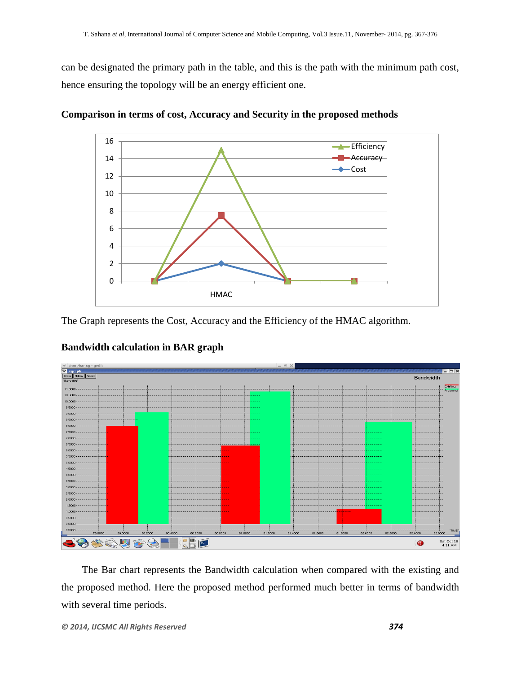can be designated the primary path in the table, and this is the path with the minimum path cost, hence ensuring the topology will be an energy efficient one.



**Comparison in terms of cost, Accuracy and Security in the proposed methods**

The Graph represents the Cost, Accuracy and the Efficiency of the HMAC algorithm.



# **Bandwidth calculation in BAR graph**

The Bar chart represents the Bandwidth calculation when compared with the existing and the proposed method. Here the proposed method performed much better in terms of bandwidth with several time periods.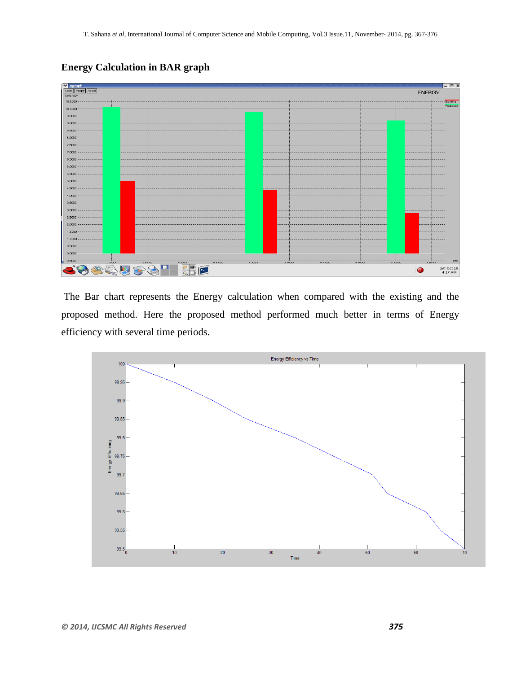| │ <mark>∨ xgraph</mark><br>│ Close │ Hdcpy │ About │ |             |                               |        |         |        |                 |        |                | $ \Box$ $\times$ |
|------------------------------------------------------|-------------|-------------------------------|--------|---------|--------|-----------------|--------|----------------|------------------|
| "ENERGY"                                             |             |                               |        |         |        |                 |        | <b>ENERGY</b>  |                  |
| 10,5000                                              |             |                               |        |         |        |                 |        |                | Existing         |
| 10.0000                                              |             |                               |        |         |        |                 |        |                | Proposed         |
| $9.5000 -$                                           |             |                               |        |         |        |                 |        |                |                  |
| 9.0000                                               |             |                               |        |         |        |                 |        |                |                  |
| 8.5000                                               |             |                               |        |         |        |                 |        |                |                  |
| 8.0000                                               |             |                               |        |         |        |                 |        |                |                  |
|                                                      |             |                               |        |         |        |                 |        |                |                  |
| 7.5000                                               |             |                               |        |         |        |                 |        |                |                  |
| 7.0000-                                              |             |                               |        |         |        |                 |        |                |                  |
| 6.5000                                               |             |                               |        |         |        |                 |        |                |                  |
| $6.0000 -$                                           |             |                               |        |         |        |                 |        |                |                  |
| 5,5000                                               |             |                               |        |         |        |                 |        |                |                  |
| $5.0000 -$                                           |             |                               |        |         |        |                 |        |                |                  |
| 4.5000-                                              |             |                               |        |         |        |                 |        |                |                  |
| 4.0000-                                              |             |                               |        |         |        |                 |        |                |                  |
| 3.5000                                               |             |                               |        |         |        |                 |        |                |                  |
| $3.0000 -$                                           |             |                               |        |         |        |                 |        |                |                  |
| $2.5000 -$                                           |             |                               |        |         |        |                 |        |                |                  |
| $2.0000 -$                                           |             |                               |        |         |        |                 |        |                |                  |
| 1.5000                                               |             |                               |        |         |        |                 |        |                |                  |
| $1.0000 -$                                           |             |                               |        |         |        |                 |        |                |                  |
| 0.5000                                               |             |                               |        |         |        |                 |        |                |                  |
| 0.0000                                               |             |                               |        |         |        |                 |        |                |                  |
| $-0.5000$                                            |             |                               |        |         |        |                 |        |                | "TIME"           |
| 10000                                                | A FOOD<br>П | r roop.<br>r onon             | c.coop | o roso. | 7.0000 | $7$ <i>rooo</i> | 0.0000 | o mono         | Sat Oct 18       |
|                                                      |             | P-<br>$\overline{\mathbf{C}}$ |        |         |        |                 |        | $\blacksquare$ | 4:17 AM          |

**Energy Calculation in BAR graph**

The Bar chart represents the Energy calculation when compared with the existing and the proposed method. Here the proposed method performed much better in terms of Energy efficiency with several time periods.